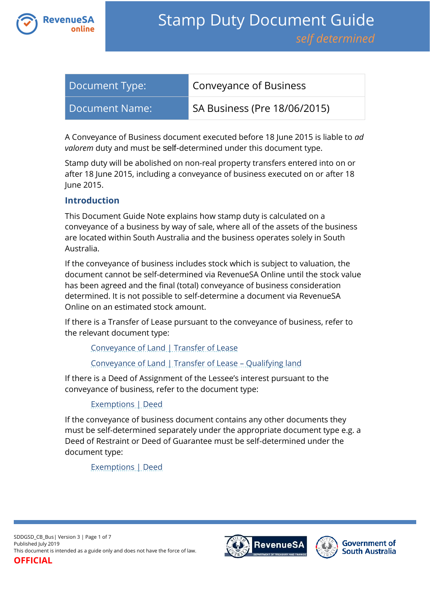

| Document Type:   | <b>Conveyance of Business</b>                         |
|------------------|-------------------------------------------------------|
| Document Name: l | $\overline{\phantom{a}}$ SA Business (Pre 18/06/2015) |

A Conveyance of Business document executed before 18 June 2015 is liable to *ad valorem* duty and must be self-determined under this document type.

Stamp duty will be abolished on non-real property transfers entered into on or after 18 June 2015, including a conveyance of business executed on or after 18 June 2015.

### **Introduction**

This Document Guide Note explains how stamp duty is calculated on a conveyance of a business by way of sale, where all of the assets of the business are located within South Australia and the business operates solely in South Australia.

If the conveyance of business includes stock which is subject to valuation, the document cannot be self-determined via RevenueSA Online until the stock value has been agreed and the final (total) conveyance of business consideration determined. It is not possible to self-determine a document via RevenueSA Online on an estimated stock amount.

If there is a Transfer of Lease pursuant to the conveyance of business, refer to the relevant document type:

[Conveyance of Land | Transfer of Lease](https://www.revenuesa.sa.gov.au/stampduty/stamp-duty-document-guide/self-determined/conveyance-of-land/sddgsd_cl_tofl_rpp)

[Conveyance of Land | Transfer of Lease](https://www.revenuesa.sa.gov.au/stampduty/stamp-duty-document-guide/self-determined/conveyance-of-land/sddgsd_cl_tofl_ql) – Qualifying land

If there is a Deed of Assignment of the Lessee's interest pursuant to the conveyance of business, refer to the document type:

## [Exemptions | Deed](https://www.revenuesa.sa.gov.au/stampduty/stamp-duty-document-guide/self-determined/exemptions/sddgsd_ex_d)

If the conveyance of business document contains any other documents they must be self-determined separately under the appropriate document type e.g. a Deed of Restraint or Deed of Guarantee must be self-determined under the document type:

[Exemptions | Deed](https://www.revenuesa.sa.gov.au/stampduty/stamp-duty-document-guide/self-determined/exemptions/sddgsd_ex_d)

SDDGSD\_CB\_Bus| Version 3 | Page 1 of 7 Published July 2019 This document is intended as a guide only and does not have the force of law. **OFFICIAL**



**Government of South Australia**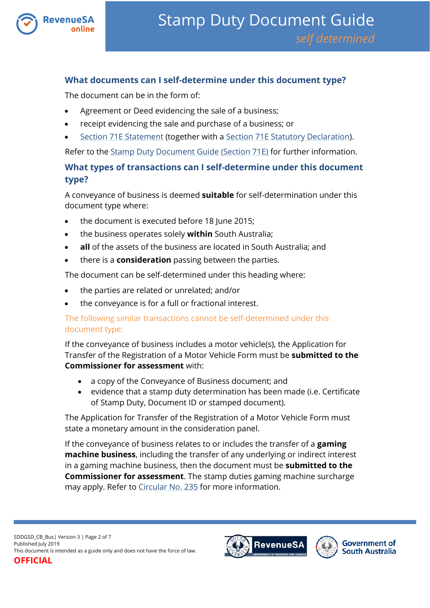

# **What documents can I self-determine under this document type?**

The document can be in the form of:

- Agreement or Deed evidencing the sale of a business;
- receipt evidencing the sale and purchase of a business; or
- [Section 71E Statement](https://www.revenuesa.sa.gov.au/forms-and-publications/documents/forms/71estatement.pdf) (together with a [Section 71E Statutory Declaration\)](https://www.revenuesa.sa.gov.au/forms-and-publications/documents/forms/71estatdec.pdf).

Refer to the [Stamp Duty Document Guide \(Section 71E\)](https://www.revenuesa.sa.gov.au/stampduty/stamp-duty-document-guide/section71e) for further information.

# **What types of transactions can I self-determine under this document type?**

A conveyance of business is deemed **suitable** for self-determination under this document type where:

- the document is executed before 18 June 2015;
- the business operates solely **within** South Australia;
- **all** of the assets of the business are located in South Australia; and
- there is a **consideration** passing between the parties.

The document can be self-determined under this heading where:

- the parties are related or unrelated; and/or
- the conveyance is for a full or fractional interest.

## The following similar transactions cannot be self-determined under this document type:

If the conveyance of business includes a motor vehicle(s), the Application for Transfer of the Registration of a Motor Vehicle Form must be **submitted to the Commissioner for assessment** with:

- a copy of the Conveyance of Business document; and
- evidence that a stamp duty determination has been made (i.e. Certificate of Stamp Duty, Document ID or stamped document).

The Application for Transfer of the Registration of a Motor Vehicle Form must state a monetary amount in the consideration panel.

If the conveyance of business relates to or includes the transfer of a **gaming machine business**, including the transfer of any underlying or indirect interest in a gaming machine business, then the document must be **submitted to the Commissioner for assessment**. The stamp duties gaming machine surcharge may apply. Refer to [Circular No. 235](https://www.revenuesa.sa.gov.au/forms-and-publications/documents/historic-circulars/HISTORIC_c235.pdf) for more information.

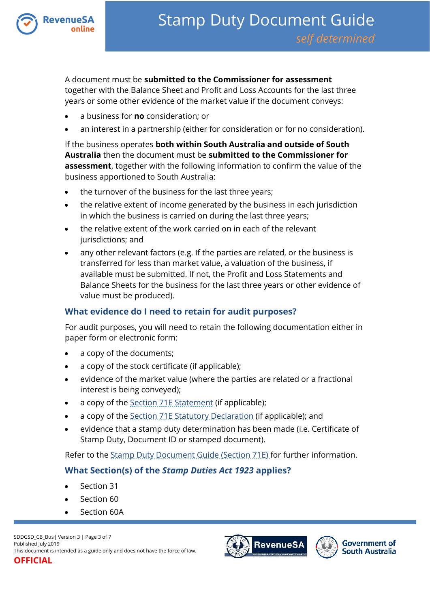

A document must be **submitted to the Commissioner for assessment** together with the Balance Sheet and Profit and Loss Accounts for the last three years or some other evidence of the market value if the document conveys:

- a business for **no** consideration; or
- an interest in a partnership (either for consideration or for no consideration).

If the business operates **both within South Australia and outside of South Australia** then the document must be **submitted to the Commissioner for assessment**, together with the following information to confirm the value of the business apportioned to South Australia:

- the turnover of the business for the last three years;
- the relative extent of income generated by the business in each jurisdiction in which the business is carried on during the last three years;
- the relative extent of the work carried on in each of the relevant jurisdictions; and
- any other relevant factors (e.g. If the parties are related, or the business is transferred for less than market value, a valuation of the business, if available must be submitted. If not, the Profit and Loss Statements and Balance Sheets for the business for the last three years or other evidence of value must be produced).

## **What evidence do I need to retain for audit purposes?**

For audit purposes, you will need to retain the following documentation either in paper form or electronic form:

- a copy of the documents;
- a copy of the stock certificate (if applicable);
- evidence of the market value (where the parties are related or a fractional interest is being conveyed);
- a copy of the [Section 71E Statement](https://www.revenuesa.sa.gov.au/forms-and-publications/documents/forms/71estatement.pdf) (if applicable);
- a copy of the [Section 71E Statutory Declaration](https://www.revenuesa.sa.gov.au/forms-and-publications/documents/forms/71estatdec.pdf) (if applicable); and
- evidence that a stamp duty determination has been made (i.e. Certificate of Stamp Duty, Document ID or stamped document).

Refer to the [Stamp Duty Document Guide \(Section 71E\)](https://www.revenuesa.sa.gov.au/stampduty/stamp-duty-document-guide/section71e) for further information.

# **What Section(s) of the** *Stamp Duties Act 1923* **applies?**

- Section 31
- Section 60
- Section 60A



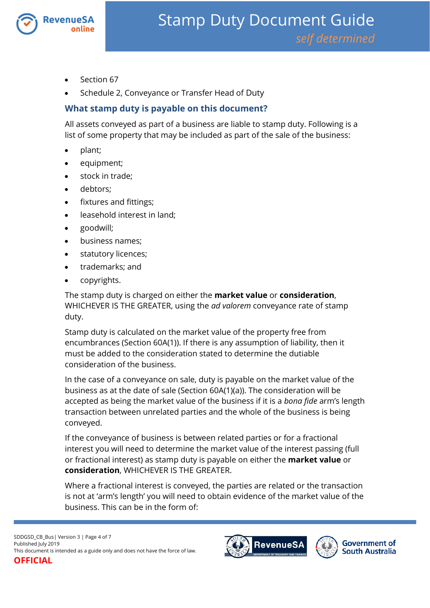

- Section 67
- Schedule 2, Conveyance or Transfer Head of Duty

# **What stamp duty is payable on this document?**

All assets conveyed as part of a business are liable to stamp duty. Following is a list of some property that may be included as part of the sale of the business:

- plant;
- equipment;
- stock in trade;
- debtors;
- fixtures and fittings;
- leasehold interest in land;
- goodwill;
- business names;
- statutory licences;
- trademarks; and
- copyrights.

The stamp duty is charged on either the **market value** or **consideration**, WHICHEVER IS THE GREATER, using the *ad valorem* conveyance rate of stamp duty.

Stamp duty is calculated on the market value of the property free from encumbrances (Section 60A(1)). If there is any assumption of liability, then it must be added to the consideration stated to determine the dutiable consideration of the business.

In the case of a conveyance on sale, duty is payable on the market value of the business as at the date of sale (Section 60A(1)(a)). The consideration will be accepted as being the market value of the business if it is a *bona fide* arm's length transaction between unrelated parties and the whole of the business is being conveyed.

If the conveyance of business is between related parties or for a fractional interest you will need to determine the market value of the interest passing (full or fractional interest) as stamp duty is payable on either the **market value** or **consideration**, WHICHEVER IS THE GREATER.

Where a fractional interest is conveyed, the parties are related or the transaction is not at 'arm's length' you will need to obtain evidence of the market value of the business. This can be in the form of:



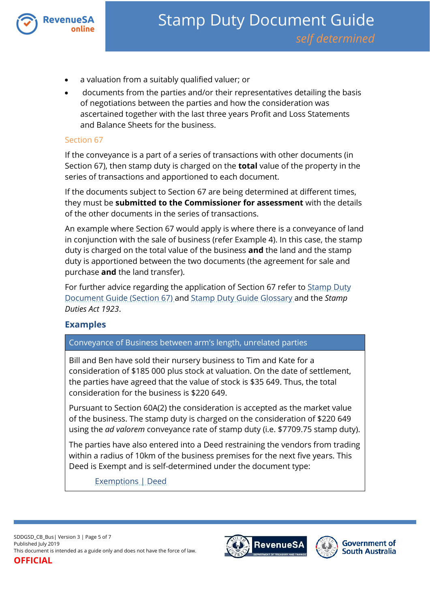

- a valuation from a suitably qualified valuer; or
- documents from the parties and/or their representatives detailing the basis of negotiations between the parties and how the consideration was ascertained together with the last three years Profit and Loss Statements and Balance Sheets for the business.

#### Section 67

If the conveyance is a part of a series of transactions with other documents (in Section 67), then stamp duty is charged on the **total** value of the property in the series of transactions and apportioned to each document.

If the documents subject to Section 67 are being determined at different times, they must be **submitted to the Commissioner for assessment** with the details of the other documents in the series of transactions.

An example where Section 67 would apply is where there is a conveyance of land in conjunction with the sale of business (refer Example 4). In this case, the stamp duty is charged on the total value of the business **and** the land and the stamp duty is apportioned between the two documents (the agreement for sale and purchase **and** the land transfer).

For further advice regarding the application of Section 67 refer to Stamp Duty [Document Guide \(Section 67\)](https://www.revenuesa.sa.gov.au/stampduty/stamp-duty-document-guide/section67) and [Stamp Duty Guide Glossary](https://www.revenuesa.sa.gov.au/stampduty/stamp-duty-document-guide#Glossary) and the *Stamp Duties Act 1923*.

## **Examples**

#### Conveyance of Business between arm's length, unrelated parties

Bill and Ben have sold their nursery business to Tim and Kate for a consideration of \$185 000 plus stock at valuation. On the date of settlement, the parties have agreed that the value of stock is \$35 649. Thus, the total consideration for the business is \$220 649.

Pursuant to Section 60A(2) the consideration is accepted as the market value of the business. The stamp duty is charged on the consideration of \$220 649 using the *ad valorem* conveyance rate of stamp duty (i.e. \$7709.75 stamp duty).

The parties have also entered into a Deed restraining the vendors from trading within a radius of 10km of the business premises for the next five years. This Deed is Exempt and is self-determined under the document type:

[Exemptions | Deed](https://www.revenuesa.sa.gov.au/stampduty/stamp-duty-document-guide/self-determined/exemptions/sddgsd_ex_d)

SDDGSD\_CB\_Bus| Version 3 | Page 5 of 7 Published July 2019 This document is intended as a guide only and does not have the force of law. **OFFICIAL**

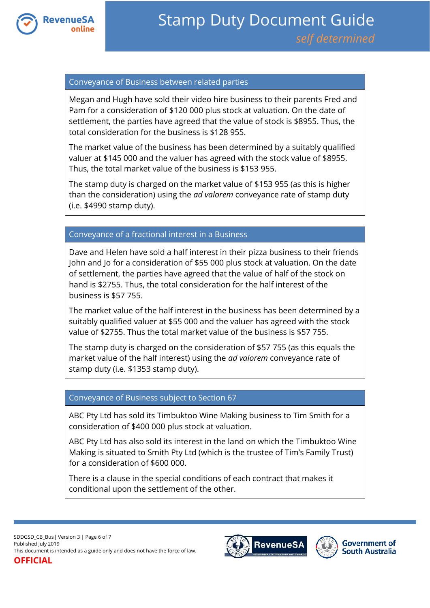

#### Conveyance of Business between related parties

Megan and Hugh have sold their video hire business to their parents Fred and Pam for a consideration of \$120 000 plus stock at valuation. On the date of settlement, the parties have agreed that the value of stock is \$8955. Thus, the total consideration for the business is \$128 955.

The market value of the business has been determined by a suitably qualified valuer at \$145 000 and the valuer has agreed with the stock value of \$8955. Thus, the total market value of the business is \$153 955.

The stamp duty is charged on the market value of \$153 955 (as this is higher than the consideration) using the *ad valorem* conveyance rate of stamp duty (i.e. \$4990 stamp duty).

### Conveyance of a fractional interest in a Business

Dave and Helen have sold a half interest in their pizza business to their friends John and Jo for a consideration of \$55 000 plus stock at valuation. On the date of settlement, the parties have agreed that the value of half of the stock on hand is \$2755. Thus, the total consideration for the half interest of the business is \$57 755.

The market value of the half interest in the business has been determined by a suitably qualified valuer at \$55 000 and the valuer has agreed with the stock value of \$2755. Thus the total market value of the business is \$57 755.

The stamp duty is charged on the consideration of \$57 755 (as this equals the market value of the half interest) using the *ad valorem* conveyance rate of stamp duty (i.e. \$1353 stamp duty).

#### Conveyance of Business subject to Section 67

ABC Pty Ltd has sold its Timbuktoo Wine Making business to Tim Smith for a consideration of \$400 000 plus stock at valuation.

ABC Pty Ltd has also sold its interest in the land on which the Timbuktoo Wine Making is situated to Smith Pty Ltd (which is the trustee of Tim's Family Trust) for a consideration of \$600 000.

There is a clause in the special conditions of each contract that makes it conditional upon the settlement of the other.